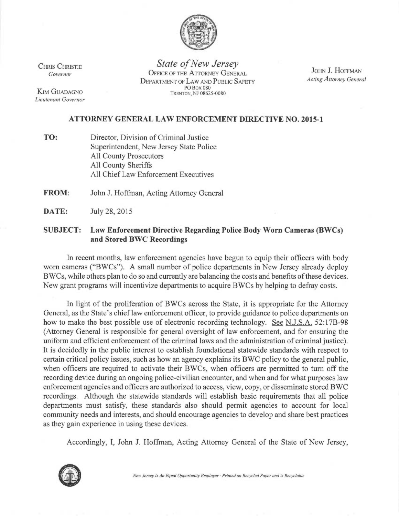

KIM GUADAGNO Lieutenant Governor

CHRIS CHRISTIE State of New Jersey Governor<br>
Governor OFFICE OF THE ATTORNEY GENERAL JOHN J. HOFFMAN<br>
DEBARTMENT OF JAWAND PUBLIC SAFETY Acting Attorney General DEPARTMENT OF LAW AND PUBLIC SAFETY PO Box 080 TRENTON, NJ 08625-0080

# ATTORNEY GENERAL LAW ENFORCEMENT DIRECTIVE NO.2015-1

TO: Director, Division of Criminal Justice Superintendent, New Jersey State Police All County Prosecutors All County Sheriffs All Chief Law Enforcement Executives

FROM: John J. Hoffman, Acting Attorney General

**DATE:** July 28, 2015

## SUBJECT: Law Enforcement Directive Regarding Police Body Worn Cameras (BWCs) and Stored BWC Recordings

In recent months, law enforcement agencies have begun to equip their officers with body worn cameras ("BWCs"). A small number of police departments in New Jersey already deploy B WCs, while others plan to do so and currently are balancing the costs and benefits of these devices. New grant programs will incentivize departments to acquire BWCs by helping to defray costs.

In light of the proliferation of BWCs across the State, it is appropriate for the Attorney General, as the State's chief law enforcement officer, to provide guidance to police departments on how to make the best possible use of electronic recording technology. See N.J.S.A. 52:17B-98 (Attorney General is responsible for general oversight of law enforcement, and for ensuring the uniform and efficient enforcement of the criminal laws and the administration of criminal justice). It is decidedly in the public interest to establish foundational statewide standards with respect to certain critical policy issues, such as how an agency explains its BWC policy to the general public, when officers are required to activate their BWCs, when officers are permitted to turn off the recording device during an ongoing police-civilian encounter, and when and for what purposes law enforcement agencies and officers are authorized to access, view, copy, or disseminate stored B WC recordings. Although the statewide standards will establish basic requirements that all police departments must satisfy, these standards also should permit agencies to account for local community needs and interests, and should encourage agencies to develop and share best practices as they gain experience in using these devices.

Accordingly, I, John J. Hoffman, Acting Attorney General of the State of New Jersey,



New Jersey Is An Equal Opportunity Employer · Printed on Recycled Paper and is Recyclable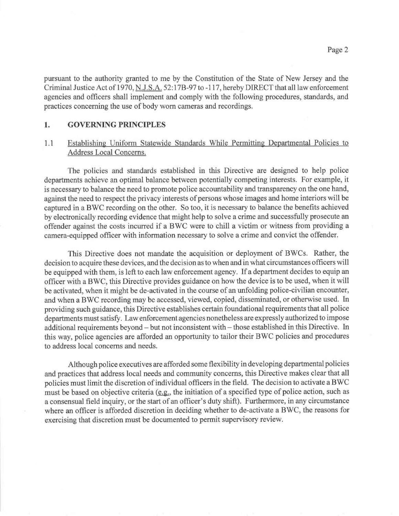pursuant to the authority granted to me by the Constitution of the State of New Jersey and the Criminal Justice Act of 1970, N.J.S.A. 52:17B-97 to -117, hereby DIRECT that all law enforcement agencies and officers shall implement and comply with the following procedures, standards, and practices concerning the use of body worn cameras and recordings.

### 1. GOVERNING PRINCIPLES

### 1.1 Establishing Uniform Statewide Standards While Permitting Departmental Policies to Address Local Concerns.

The policies and standards established in this Directive are designed to help police departments achieve an optimal balance between potentially competing interests. For example, it is necessary to balance the need to promote police accountability and transparency on the one hand, against the need to respect the privacy interests of persons whose images and home interiors will be captured in a BWC recording on the other. So too, it is necessary to balance the benefits achieved by electronically recording evidence that might help to solve a crime and successfully prosecute an offender against the costs incurred if a BWC were to chill a victim or witness from providing <sup>a</sup> camera-equipped officer with information necessary to solve a crime and convict the offender.

This Directive does not mandate the acquisition or deployment of BWCs. Rather, the decision to acquire these devices, and the decision as to when and in what circumstances officers will be equipped with them, is left to each law enforcement agency. If a department decides to equip an officer with a BWC, this Directive provides guidance on how the device is to be used, when it will be activated, when it might be de-activated in the course of an unfolding police-civilian encounter, and when a BWC recording may be accessed, viewed, copied, disseminated, or otherwise used. In providing such guidance, this Directive establishes certain foundational requirements that all police departments must satisfy. Law enforcement agencies nonetheless are expressly authorized to impose additional requirements beyond —but not inconsistent with —those established in this Directive. In this way, police agencies are afforded an opportunity to tailor their BWC policies and procedures to address local concerns and needs.

Although police executives are afforded some flexibility in developing departmental policies and practices that address local needs and community concerns, this Directive makes clear that all policies must limit the discretion of individual officers in the field. The decision to activate a BWC must be based on objective criteria (e.g., the initiation of a specified type of police action, such as <sup>a</sup>consensual field inquiry, or the start of an officer's duty shift). Furthermore, in any circumstance where an officer is afforded discretion in deciding whether to de-activate a BWC, the reasons for exercising that discretion must be documented to permit supervisory review.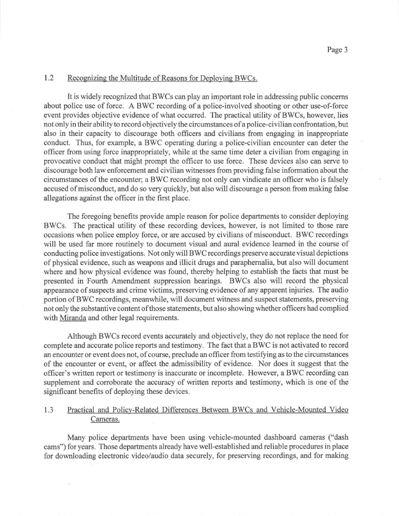### 1.2 Recognizing the Multitude of Reasons for Deploying BWCs.

It is widely recognized that BWCs can play an important role in addressing public concerns about police use of force. A BWC recording of a police-involved shooting or other use-of-force event provides objective evidence of what occurred. The practical utility of BWCs, however, lies not only in their ability to record objectively the circumstances of a police-civilian confrontation, but also in their capacity to discourage both officers and civilians from engaging in inappropriate conduct. Thus, for example, a BWC operating during a police-civilian encounter can deter the officer from using force inappropriately, while at the same time deter a civilian from engaging in provocative conduct that might prompt the officer to use force. These devices also can serve to discourage both law enforcement and civilian witnesses from providing false information about the circumstances of the encounter; a BWC recording not only can vindicate an officer who is falsely accused of misconduct, and do so very quickly, but also will discourage a person from making false allegations against the officer in the first place.

The foregoing benefits provide ample reason for police departments to consider deploying BWCs. The practical utility of these recording devices, however, is not limited to those rare occasions when police employ force, or are accused by civilians of misconduct. BWC recordings will be used far more routinely to document visual and aural evidence learned in the course of conducting police investigations. Not only will BWC recordings preserve accurate visual depictions of physical evidence, such as weapons and illicit drugs and paraphernalia, but also will document where and how physical evidence was found, thereby helping to establish the facts that must be presented in Fourth Amendment suppression hearings. BWCs also will record the physical appearance of suspects and crime victims, preserving evidence of any apparent injuries. The audio portion of BWC recordings, meanwhile, will document witness and suspect statements, preserving not only the substantive content of those statements, but also showing whether officers had complied with Miranda and other legal requirements.

Although BWCs record events accurately and objectively, they do not replace the need for complete and accurate police reports and testimony. The fact that a BWC is not activated to record an encounter or event does not, of course, preclude an officer from testifying as to the circumstances of the encounter or event, or affect the admissibility of evidence. Nor does it suggest that the officer's written report or testimony is inaccurate or incomplete. However, a BWC recording can supplement and corroborate the accuracy of written reports and testimony, which is one of the significant benefits of deploying these devices.

## 1.3 Practical and Policy-Related Differences Between BWCs and Vehicle-Mounted Video Cameras.

Many police departments have been using vehicle-mounted dashboard cameras ("dash cams") for years. Those departments already have well-established and reliable procedures in place for downloading electronic video/audio data securely, for preserving recordings, and for making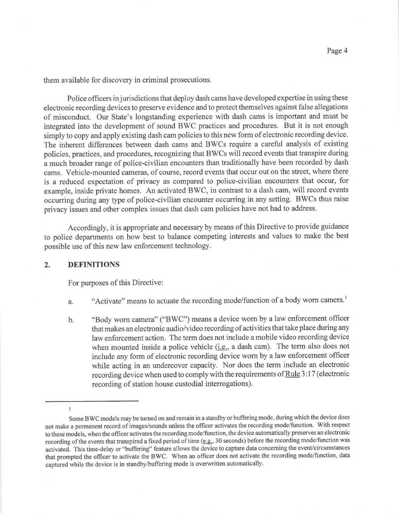them available for discovery in criminal prosecutions.

Police officers in jurisdictions that deploy dash cams have developed expertise in using these electronic recording devices to preserve evidence and to protect themselves against false allegations of misconduct. Our State's longstanding experience with dash cams is important and must be integrated into the development of sound BWC practices and procedures. But it is not enough simply to copy and apply existing dash cam policies to this new form of electronic recording device. The inherent differences between dash cams and BWCs require a careful analysis of existing policies, practices, and procedures, recognizing that BWCs will record events that transpire during <sup>a</sup>much broader range of police-civilian encounters than traditionally have been recorded by dash cams. Vehicle-mounted cameras, of course, record events that occur out on the street, where there is a reduced expectation of privacy as compared to police-civilian encounters that occur, for example, inside private homes. An activated BWC, in contrast to a dash cam, will record events occurring during any type of police-civilian encounter occurring in any setting. BWCs thus raise privacy issues and other complex issues that dash cam policies have not had to address.

Accordingly, it is appropriate and necessary by means of this Directive to provide guidance to police departments on how best to balance competing interests and values to make the best possible use of this new law enforcement technology.

#### 2. DEFINITIONS

For purposes of this Directive:

- a. "Activate" means to actuate the recording mode/function of a body worn camera.'
- b. "Body worn camera" ("BWC") means a device worn by a law enforcement officer that makes an electronic audio/video recording of activities that take place during any law enforcement action. The term does not include a mobile video recording device when mounted inside a police vehicle (i.e., a dash cam). The term also does not include any form of electronic recording device worn by a law enforcement officer while acting in an undercover capacity. Nor does the term include an electronic recording device when used to comply with the requirements of Rule 3 :17 (electronic recording of station house custodial interrogations).

 $\,1$ 

Some BWC models may be turned on and remain in a standby or buffering mode, during which the device does not make a permanent record of images/sounds unless the officer activates the recording mode/function. With respect to these models, when the officer activates the recording mode/function, the device automatically preserves an electronic recording of the events that transpired a fixed period of time (e.g., 30 seconds) before the recording mode/function was activated. This time-delay or "buffering" feature allows the device to capture data concerning the event/circumstances that prompted the officer to activate the BWC. When an officer does not activate the recording mode/function, data captured while the device is in standby/buffering mode is overwritten automatically.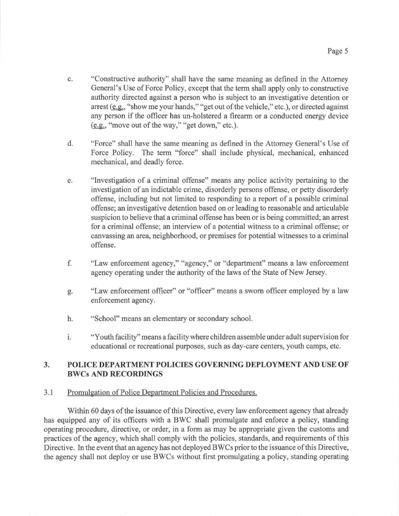- $\mathbf{c}$ . "Constructive authority" shall have the same meaning as defined in the Attorney General's Use of Force Policy, except that the term shall apply only to constructive authority directed against a person who is subject to an investigative detention or arrest  $(e.g., "show me your hands," "get out of the vehicle," etc.), or directed against$ any person if the officer has un-holstered a firearm or a conducted energy device  $(e.g., "move out of the way," "get down," etc.).$
- d. "Force" shall have the same meaning as defined in the Attorney General's Use of Force Policy. The term "force" shall include physical, mechanical, enhanced mechanical, and deadly force.
- "Investigation of a criminal offense" means any police activity pertaining to the e. investigation of an indictable crime, disorderly persons offense, or petty disorderly offense, including but not limited to responding to a report of a possible criminal offense; an investigative detention based on or leading to reasonable and articulable suspicion to believe that a criminal offense has been or is being committed; an arrest for a criminal offense; an interview of a potential witness to a criminal offense; or canvassing an area, neighborhood, or premises for potential witnesses to a criminal offense.
- £ "Law enforcement agency," "agency," or "department" means a law enforcement agency operating under the authority of the laws of the State of New Jersey.
- g. "Law enforcement officer" or "officer" means a sworn officer employed by a law enforcement agency.
- h. "School" means an elementary or secondary school.
- "Youth facility" means a facility where children assemble under adult supervision for i. educational or recreational purposes, such as day-care centers, youth camps, etc.

### 3. POLICE DEPARTMENT POLICIES GOVERNING DEPLOYMENT AND USE OF BWCs AND RECORDINGS

### 3.1 Promulgation of Police Department Policies and Procedures.

Within 60 days of the issuance of this Directive, every law enforcement agency that already has equipped any of its officers with a BWC shall promulgate and enforce a policy, standing operating procedure, directive, or order, in a form as may be appropriate given the customs and practices of the agency, which shall comply with the policies, standards, and requirements of this Directive. In the event that an agency has not deployed BWCs prior to the issuance of this Directive, the agency shall not deploy or use BWCs without first promulgating a policy, standing operating